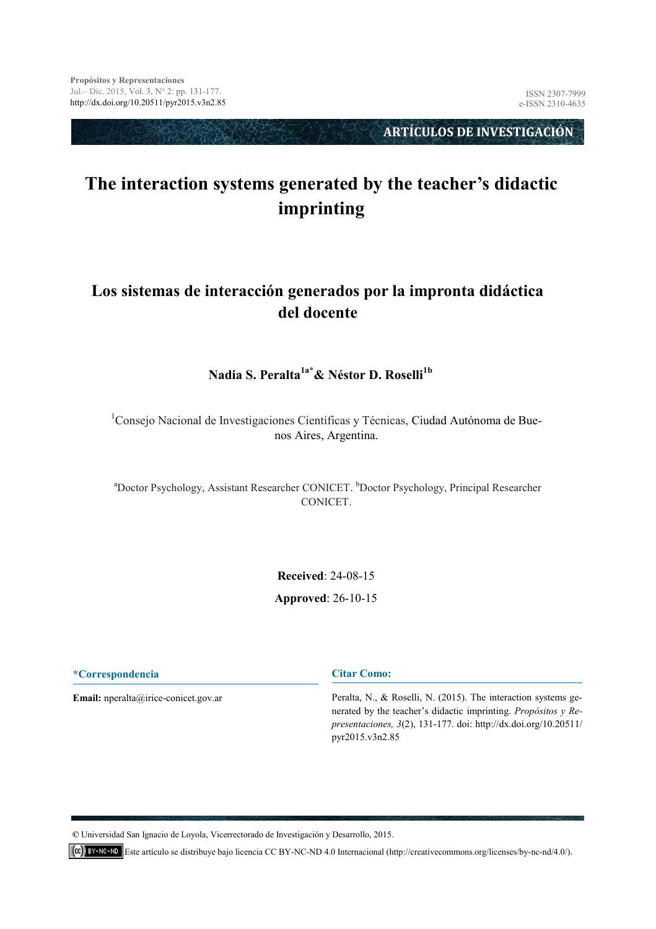**ARTÍCULOS DE INVESTIGACIÓN** 

# **The interaction systems generated by the teacher's didactic imprinting**

### **Los sistemas de interacción generados por la impronta didáctica del docente**

#### **Nadia S. Peralta1a\*& Néstor D. Roselli1b**

<sup>1</sup>Consejo Nacional de Investigaciones Científicas y Técnicas, Ciudad Autónoma de Buenos Aires, Argentina.

<sup>a</sup>Doctor Psychology, Assistant Researcher CONICET. <sup>b</sup>Doctor Psychology, Principal Researcher CONICET.

> **Received**: 24-08-15 **[Approved](mailto:jdamian@unpa.edu.mx)**: 26-10-15

**\*Correspondencia**

**Email:** nperalta@irice-conicet.gov.ar

**Citar Como:** 

Peralta, N., & Roselli, N. (2015). The interaction systems generated by the teacher's didactic imprinting. *Propósitos y Representaciones, 3*(2), 131-177. doi: http://dx.doi.org/10.20511/ pyr2015.v3n2.85

**©** Universidad San Ignacio de Loyola, Vicerrectorado de Investigación y Desarrollo, 2015.

Este artículo se distribuye bajo licencia CC BY-NC-ND 4.0 Internacional (http://creativecommons.org/licenses/by-nc-nd/4.0/).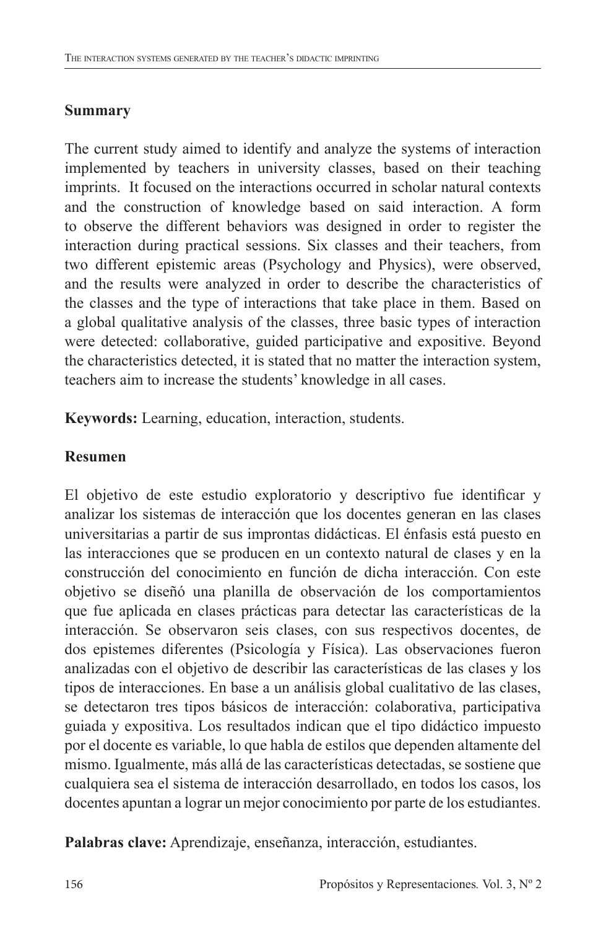### **Summary**

The current study aimed to identify and analyze the systems of interaction implemented by teachers in university classes, based on their teaching imprints. It focused on the interactions occurred in scholar natural contexts and the construction of knowledge based on said interaction. A form to observe the different behaviors was designed in order to register the interaction during practical sessions. Six classes and their teachers, from two different epistemic areas (Psychology and Physics), were observed, and the results were analyzed in order to describe the characteristics of the classes and the type of interactions that take place in them. Based on a global qualitative analysis of the classes, three basic types of interaction were detected: collaborative, guided participative and expositive. Beyond the characteristics detected, it is stated that no matter the interaction system, teachers aim to increase the students' knowledge in all cases.

**Keywords:** Learning, education, interaction, students.

## **Resumen**

El objetivo de este estudio exploratorio y descriptivo fue identificar y analizar los sistemas de interacción que los docentes generan en las clases universitarias a partir de sus improntas didácticas. El énfasis está puesto en las interacciones que se producen en un contexto natural de clases y en la construcción del conocimiento en función de dicha interacción. Con este objetivo se diseñó una planilla de observación de los comportamientos que fue aplicada en clases prácticas para detectar las características de la interacción. Se observaron seis clases, con sus respectivos docentes, de dos epistemes diferentes (Psicología y Física). Las observaciones fueron analizadas con el objetivo de describir las características de las clases y los tipos de interacciones. En base a un análisis global cualitativo de las clases, se detectaron tres tipos básicos de interacción: colaborativa, participativa guiada y expositiva. Los resultados indican que el tipo didáctico impuesto por el docente es variable, lo que habla de estilos que dependen altamente del mismo. Igualmente, más allá de las características detectadas, se sostiene que cualquiera sea el sistema de interacción desarrollado, en todos los casos, los docentes apuntan a lograr un mejor conocimiento por parte de los estudiantes.

**Palabras clave:** Aprendizaje, enseñanza, interacción, estudiantes.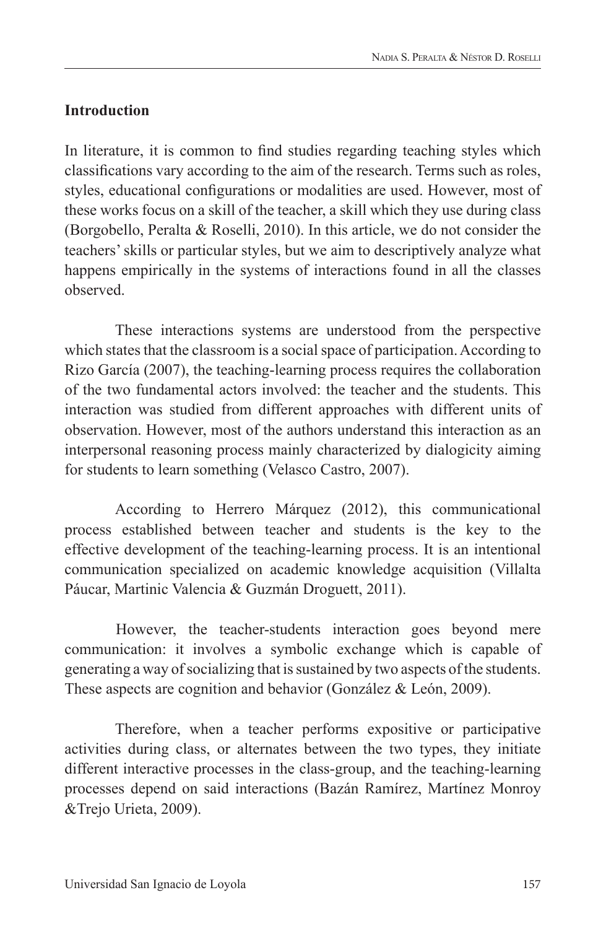### **Introduction**

In literature, it is common to find studies regarding teaching styles which classifications vary according to the aim of the research. Terms such as roles, styles, educational configurations or modalities are used. However, most of these works focus on a skill of the teacher, a skill which they use during class (Borgobello, Peralta & Roselli, 2010). In this article, we do not consider the teachers' skills or particular styles, but we aim to descriptively analyze what happens empirically in the systems of interactions found in all the classes observed.

These interactions systems are understood from the perspective which states that the classroom is a social space of participation. According to Rizo García (2007), the teaching-learning process requires the collaboration of the two fundamental actors involved: the teacher and the students. This interaction was studied from different approaches with different units of observation. However, most of the authors understand this interaction as an interpersonal reasoning process mainly characterized by dialogicity aiming for students to learn something (Velasco Castro, 2007).

According to Herrero Márquez (2012), this communicational process established between teacher and students is the key to the effective development of the teaching-learning process. It is an intentional communication specialized on academic knowledge acquisition (Villalta Páucar, Martinic Valencia & Guzmán Droguett, 2011).

However, the teacher-students interaction goes beyond mere communication: it involves a symbolic exchange which is capable of generating a way of socializing that is sustained by two aspects of the students. These aspects are cognition and behavior (González & León, 2009).

Therefore, when a teacher performs expositive or participative activities during class, or alternates between the two types, they initiate different interactive processes in the class-group, and the teaching-learning processes depend on said interactions (Bazán Ramírez, Martínez Monroy &Trejo Urieta, 2009).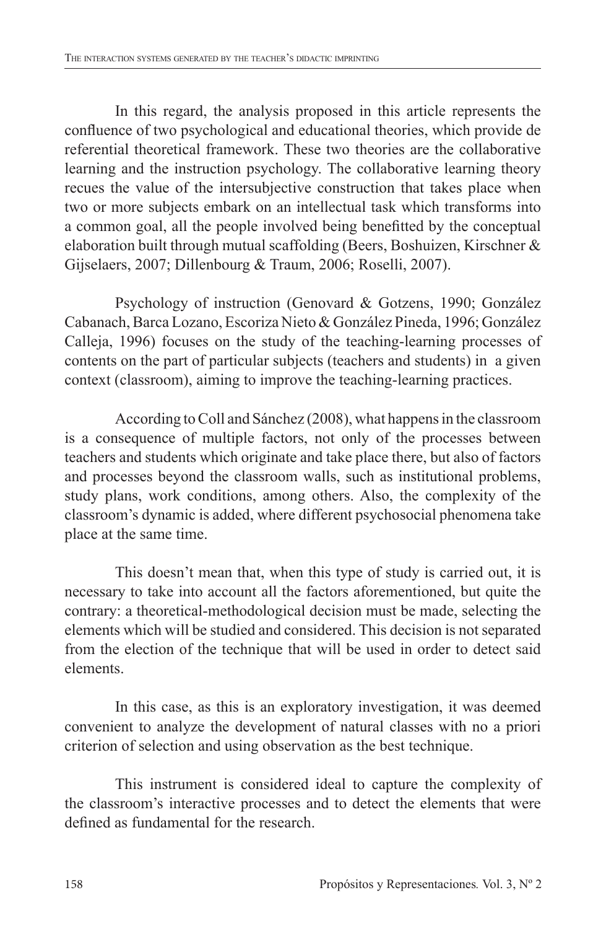In this regard, the analysis proposed in this article represents the confluence of two psychological and educational theories, which provide de referential theoretical framework. These two theories are the collaborative learning and the instruction psychology. The collaborative learning theory recues the value of the intersubjective construction that takes place when two or more subjects embark on an intellectual task which transforms into a common goal, all the people involved being benefitted by the conceptual elaboration built through mutual scaffolding (Beers, Boshuizen, Kirschner & Gijselaers, 2007; Dillenbourg & Traum, 2006; Roselli, 2007).

Psychology of instruction (Genovard & Gotzens, 1990; González Cabanach, Barca Lozano, Escoriza Nieto & González Pineda, 1996; González Calleja, 1996) focuses on the study of the teaching-learning processes of contents on the part of particular subjects (teachers and students) in a given context (classroom), aiming to improve the teaching-learning practices.

According to Coll and Sánchez (2008), what happens in the classroom is a consequence of multiple factors, not only of the processes between teachers and students which originate and take place there, but also of factors and processes beyond the classroom walls, such as institutional problems, study plans, work conditions, among others. Also, the complexity of the classroom's dynamic is added, where different psychosocial phenomena take place at the same time.

This doesn't mean that, when this type of study is carried out, it is necessary to take into account all the factors aforementioned, but quite the contrary: a theoretical-methodological decision must be made, selecting the elements which will be studied and considered. This decision is not separated from the election of the technique that will be used in order to detect said elements.

In this case, as this is an exploratory investigation, it was deemed convenient to analyze the development of natural classes with no a priori criterion of selection and using observation as the best technique.

This instrument is considered ideal to capture the complexity of the classroom's interactive processes and to detect the elements that were defined as fundamental for the research.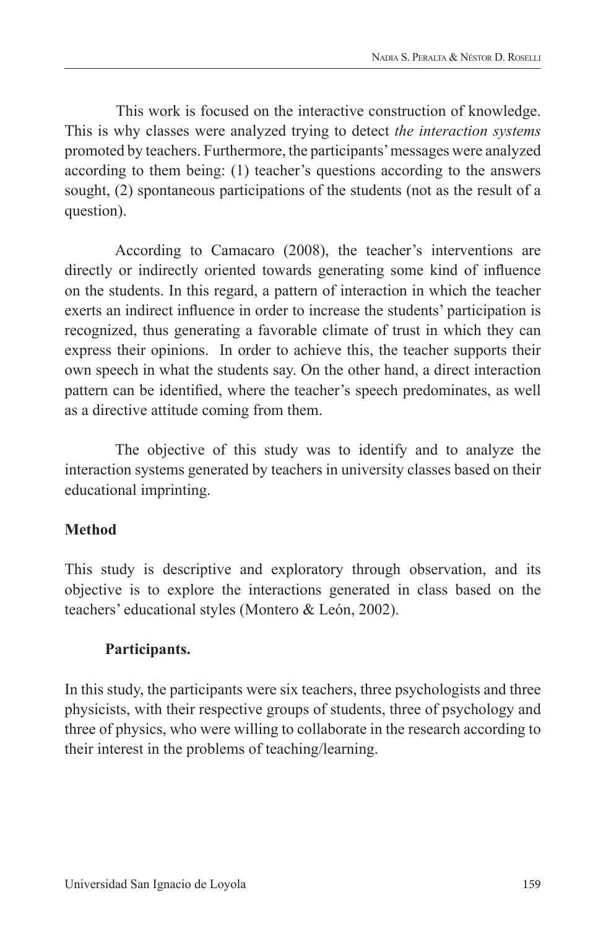This work is focused on the interactive construction of knowledge. This is why classes were analyzed trying to detect *the interaction systems* promoted by teachers. Furthermore, the participants' messages were analyzed according to them being: (1) teacher's questions according to the answers sought, (2) spontaneous participations of the students (not as the result of a question).

According to Camacaro (2008), the teacher's interventions are directly or indirectly oriented towards generating some kind of influence on the students. In this regard, a pattern of interaction in which the teacher exerts an indirect influence in order to increase the students' participation is recognized, thus generating a favorable climate of trust in which they can express their opinions. In order to achieve this, the teacher supports their own speech in what the students say. On the other hand, a direct interaction pattern can be identified, where the teacher's speech predominates, as well as a directive attitude coming from them.

The objective of this study was to identify and to analyze the interaction systems generated by teachers in university classes based on their educational imprinting.

### **Method**

This study is descriptive and exploratory through observation, and its objective is to explore the interactions generated in class based on the teachers' educational styles (Montero & León, 2002).

#### **Participants.**

In this study, the participants were six teachers, three psychologists and three physicists, with their respective groups of students, three of psychology and three of physics, who were willing to collaborate in the research according to their interest in the problems of teaching/learning.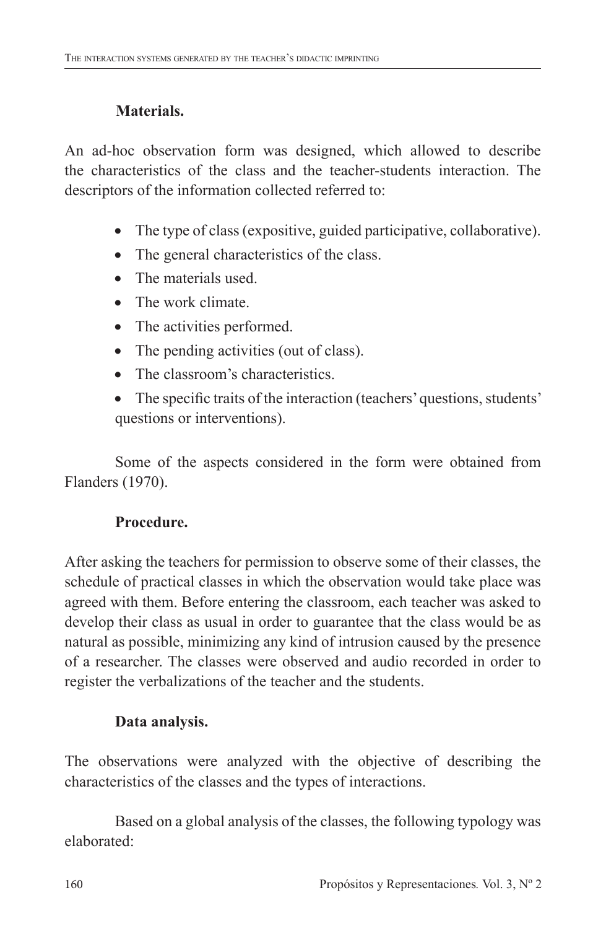## **Materials.**

An ad-hoc observation form was designed, which allowed to describe the characteristics of the class and the teacher-students interaction. The descriptors of the information collected referred to:

- The type of class (expositive, guided participative, collaborative).
- The general characteristics of the class.
- The materials used
- The work climate
- The activities performed.
- The pending activities (out of class).
- The classroom's characteristics.
- The specific traits of the interaction (teachers' questions, students' questions or interventions).

Some of the aspects considered in the form were obtained from Flanders (1970).

## **Procedure.**

After asking the teachers for permission to observe some of their classes, the schedule of practical classes in which the observation would take place was agreed with them. Before entering the classroom, each teacher was asked to develop their class as usual in order to guarantee that the class would be as natural as possible, minimizing any kind of intrusion caused by the presence of a researcher. The classes were observed and audio recorded in order to register the verbalizations of the teacher and the students.

## **Data analysis.**

The observations were analyzed with the objective of describing the characteristics of the classes and the types of interactions.

Based on a global analysis of the classes, the following typology was elaborated: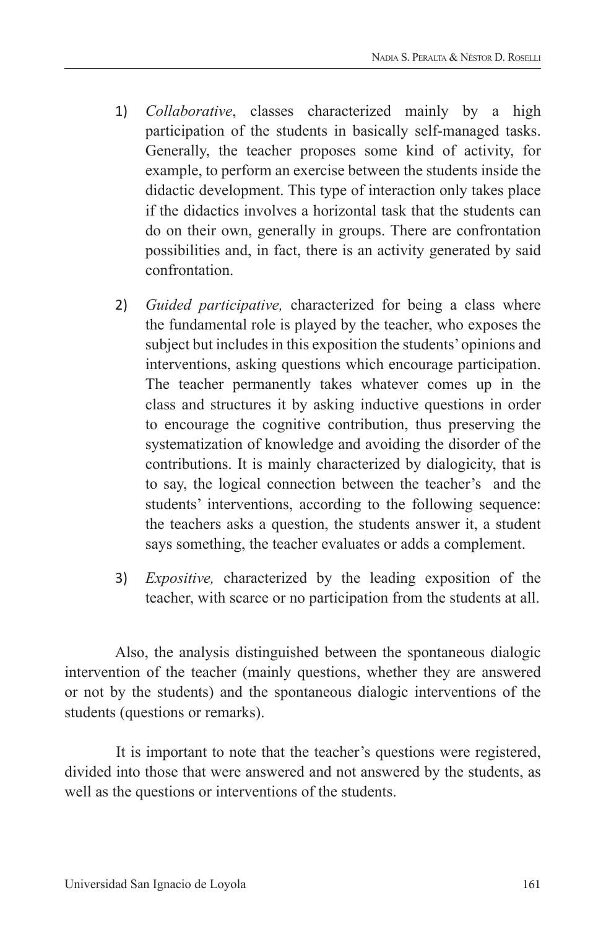- 1) *Collaborative*, classes characterized mainly by a high participation of the students in basically self-managed tasks. Generally, the teacher proposes some kind of activity, for example, to perform an exercise between the students inside the didactic development. This type of interaction only takes place if the didactics involves a horizontal task that the students can do on their own, generally in groups. There are confrontation possibilities and, in fact, there is an activity generated by said confrontation.
- 2) *Guided participative,* characterized for being a class where the fundamental role is played by the teacher, who exposes the subject but includes in this exposition the students' opinions and interventions, asking questions which encourage participation. The teacher permanently takes whatever comes up in the class and structures it by asking inductive questions in order to encourage the cognitive contribution, thus preserving the systematization of knowledge and avoiding the disorder of the contributions. It is mainly characterized by dialogicity, that is to say, the logical connection between the teacher's and the students' interventions, according to the following sequence: the teachers asks a question, the students answer it, a student says something, the teacher evaluates or adds a complement.
- 3) *Expositive,* characterized by the leading exposition of the teacher, with scarce or no participation from the students at all.

Also, the analysis distinguished between the spontaneous dialogic intervention of the teacher (mainly questions, whether they are answered or not by the students) and the spontaneous dialogic interventions of the students (questions or remarks).

It is important to note that the teacher's questions were registered, divided into those that were answered and not answered by the students, as well as the questions or interventions of the students.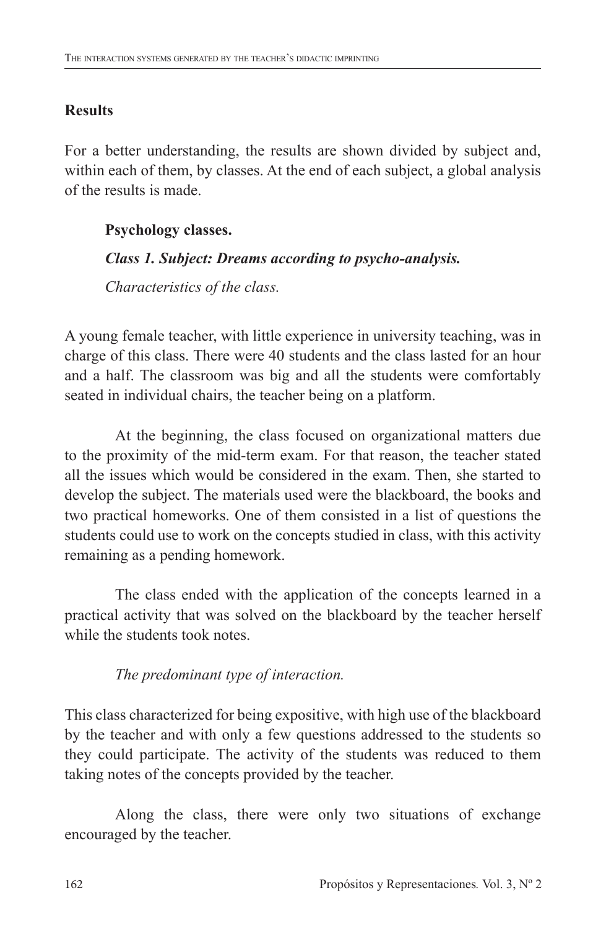## **Results**

For a better understanding, the results are shown divided by subject and, within each of them, by classes. At the end of each subject, a global analysis of the results is made.

## **Psychology classes.**

## *Class 1. Subject: Dreams according to psycho-analysis.*

*Characteristics of the class.*

A young female teacher, with little experience in university teaching, was in charge of this class. There were 40 students and the class lasted for an hour and a half. The classroom was big and all the students were comfortably seated in individual chairs, the teacher being on a platform.

At the beginning, the class focused on organizational matters due to the proximity of the mid-term exam. For that reason, the teacher stated all the issues which would be considered in the exam. Then, she started to develop the subject. The materials used were the blackboard, the books and two practical homeworks. One of them consisted in a list of questions the students could use to work on the concepts studied in class, with this activity remaining as a pending homework.

The class ended with the application of the concepts learned in a practical activity that was solved on the blackboard by the teacher herself while the students took notes.

*The predominant type of interaction.*

This class characterized for being expositive, with high use of the blackboard by the teacher and with only a few questions addressed to the students so they could participate. The activity of the students was reduced to them taking notes of the concepts provided by the teacher.

Along the class, there were only two situations of exchange encouraged by the teacher.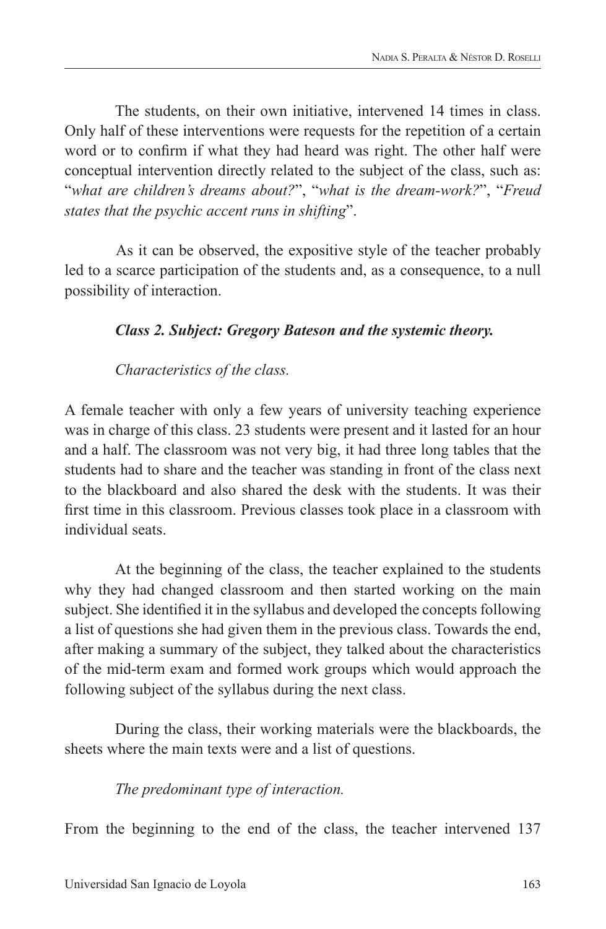The students, on their own initiative, intervened 14 times in class. Only half of these interventions were requests for the repetition of a certain word or to confirm if what they had heard was right. The other half were conceptual intervention directly related to the subject of the class, such as: "*what are children's dreams about?*", "*what is the dream-work?*", "*Freud states that the psychic accent runs in shifting*".

As it can be observed, the expositive style of the teacher probably led to a scarce participation of the students and, as a consequence, to a null possibility of interaction.

### *Class 2. Subject: Gregory Bateson and the systemic theory.*

*Characteristics of the class.*

A female teacher with only a few years of university teaching experience was in charge of this class. 23 students were present and it lasted for an hour and a half. The classroom was not very big, it had three long tables that the students had to share and the teacher was standing in front of the class next to the blackboard and also shared the desk with the students. It was their first time in this classroom. Previous classes took place in a classroom with individual seats.

At the beginning of the class, the teacher explained to the students why they had changed classroom and then started working on the main subject. She identified it in the syllabus and developed the concepts following a list of questions she had given them in the previous class. Towards the end, after making a summary of the subject, they talked about the characteristics of the mid-term exam and formed work groups which would approach the following subject of the syllabus during the next class.

During the class, their working materials were the blackboards, the sheets where the main texts were and a list of questions.

#### *The predominant type of interaction.*

From the beginning to the end of the class, the teacher intervened 137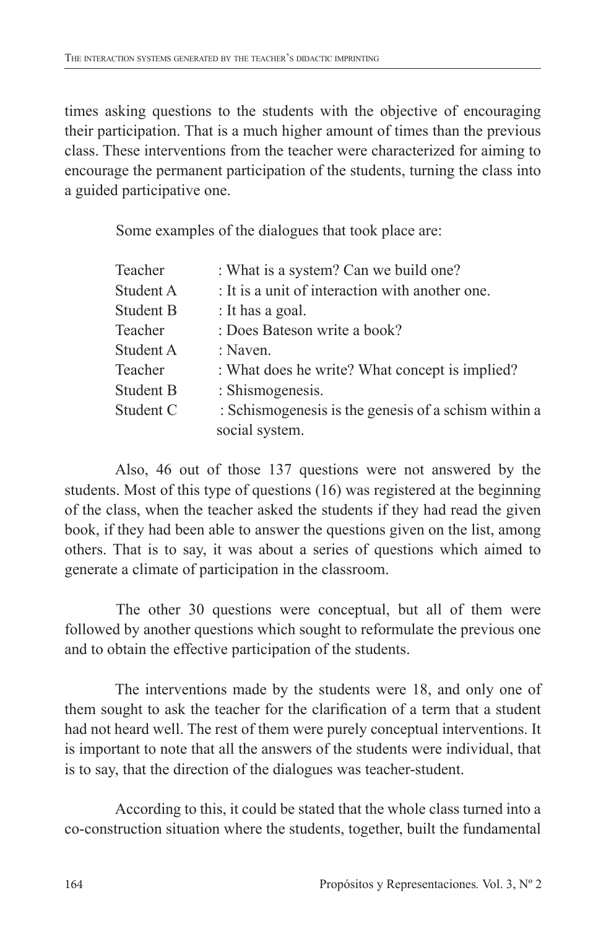times asking questions to the students with the objective of encouraging their participation. That is a much higher amount of times than the previous class. These interventions from the teacher were characterized for aiming to encourage the permanent participation of the students, turning the class into a guided participative one.

Some examples of the dialogues that took place are:

| Teacher          | : What is a system? Can we build one?                |  |  |  |
|------------------|------------------------------------------------------|--|--|--|
| Student A        | : It is a unit of interaction with another one.      |  |  |  |
| <b>Student B</b> | : It has a goal.                                     |  |  |  |
| Teacher          | : Does Bateson write a book?                         |  |  |  |
| Student A        | : Naven.                                             |  |  |  |
| Teacher          | : What does he write? What concept is implied?       |  |  |  |
| <b>Student B</b> | : Shismogenesis.                                     |  |  |  |
| Student C        | : Schismogenesis is the genesis of a schism within a |  |  |  |
|                  | social system.                                       |  |  |  |

Also, 46 out of those 137 questions were not answered by the students. Most of this type of questions (16) was registered at the beginning of the class, when the teacher asked the students if they had read the given book, if they had been able to answer the questions given on the list, among others. That is to say, it was about a series of questions which aimed to generate a climate of participation in the classroom.

The other 30 questions were conceptual, but all of them were followed by another questions which sought to reformulate the previous one and to obtain the effective participation of the students.

The interventions made by the students were 18, and only one of them sought to ask the teacher for the clarification of a term that a student had not heard well. The rest of them were purely conceptual interventions. It is important to note that all the answers of the students were individual, that is to say, that the direction of the dialogues was teacher-student.

According to this, it could be stated that the whole class turned into a co-construction situation where the students, together, built the fundamental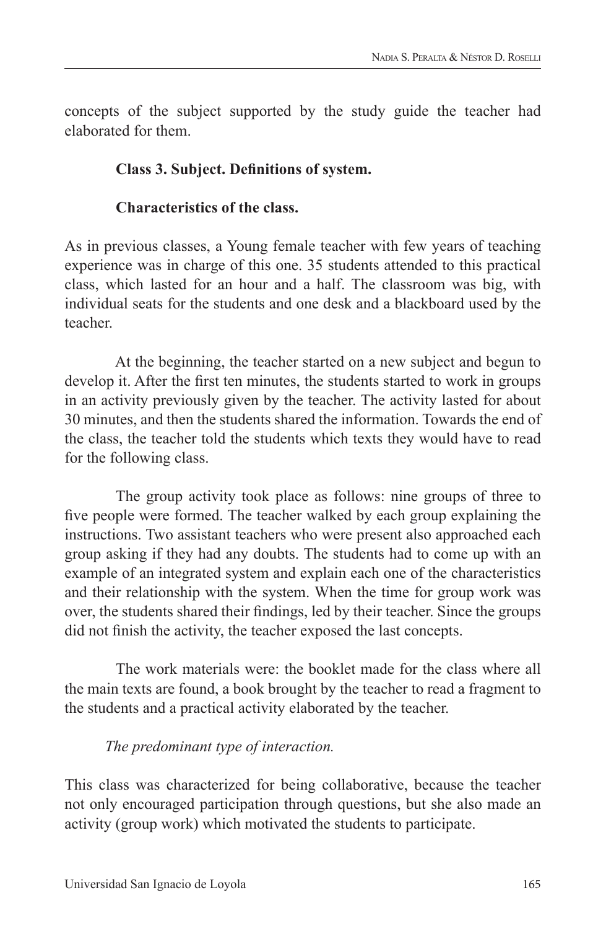concepts of the subject supported by the study guide the teacher had elaborated for them.

#### **Class 3. Subject. Definitions of system.**

### **Characteristics of the class.**

As in previous classes, a Young female teacher with few years of teaching experience was in charge of this one. 35 students attended to this practical class, which lasted for an hour and a half. The classroom was big, with individual seats for the students and one desk and a blackboard used by the teacher.

At the beginning, the teacher started on a new subject and begun to develop it. After the first ten minutes, the students started to work in groups in an activity previously given by the teacher. The activity lasted for about 30 minutes, and then the students shared the information. Towards the end of the class, the teacher told the students which texts they would have to read for the following class.

The group activity took place as follows: nine groups of three to five people were formed. The teacher walked by each group explaining the instructions. Two assistant teachers who were present also approached each group asking if they had any doubts. The students had to come up with an example of an integrated system and explain each one of the characteristics and their relationship with the system. When the time for group work was over, the students shared their findings, led by their teacher. Since the groups did not finish the activity, the teacher exposed the last concepts.

The work materials were: the booklet made for the class where all the main texts are found, a book brought by the teacher to read a fragment to the students and a practical activity elaborated by the teacher.

### *The predominant type of interaction.*

This class was characterized for being collaborative, because the teacher not only encouraged participation through questions, but she also made an activity (group work) which motivated the students to participate.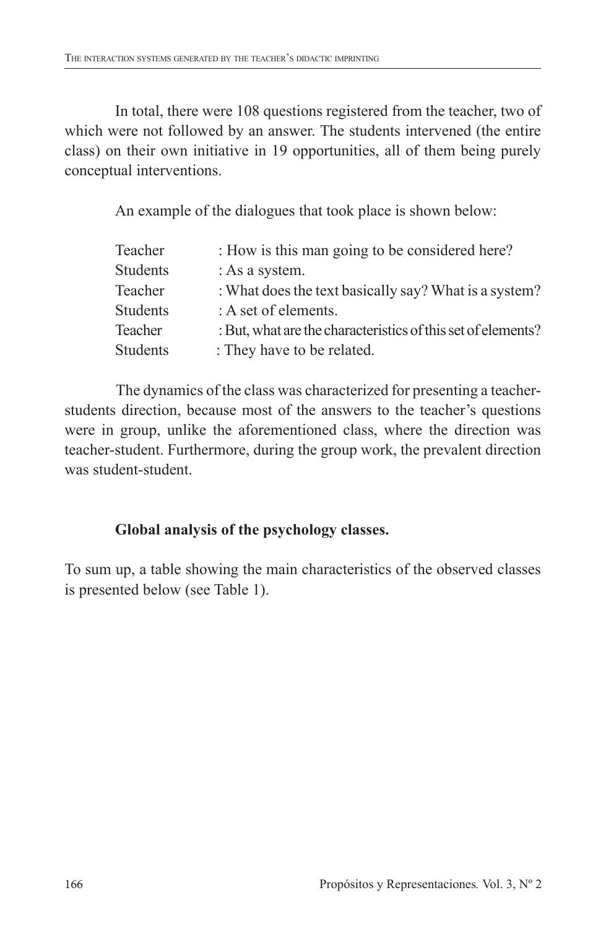In total, there were 108 questions registered from the teacher, two of which were not followed by an answer. The students intervened (the entire class) on their own initiative in 19 opportunities, all of them being purely conceptual interventions.

An example of the dialogues that took place is shown below:

| Teacher         | : How is this man going to be considered here?               |
|-----------------|--------------------------------------------------------------|
| <b>Students</b> | : As a system.                                               |
| Teacher         | : What does the text basically say? What is a system?        |
| <b>Students</b> | : A set of elements.                                         |
| Teacher         | : But, what are the characteristics of this set of elements? |
| <b>Students</b> | : They have to be related.                                   |

The dynamics of the class was characterized for presenting a teacherstudents direction, because most of the answers to the teacher's questions were in group, unlike the aforementioned class, where the direction was teacher-student. Furthermore, during the group work, the prevalent direction was student-student.

## **Global analysis of the psychology classes.**

To sum up, a table showing the main characteristics of the observed classes is presented below (see Table 1).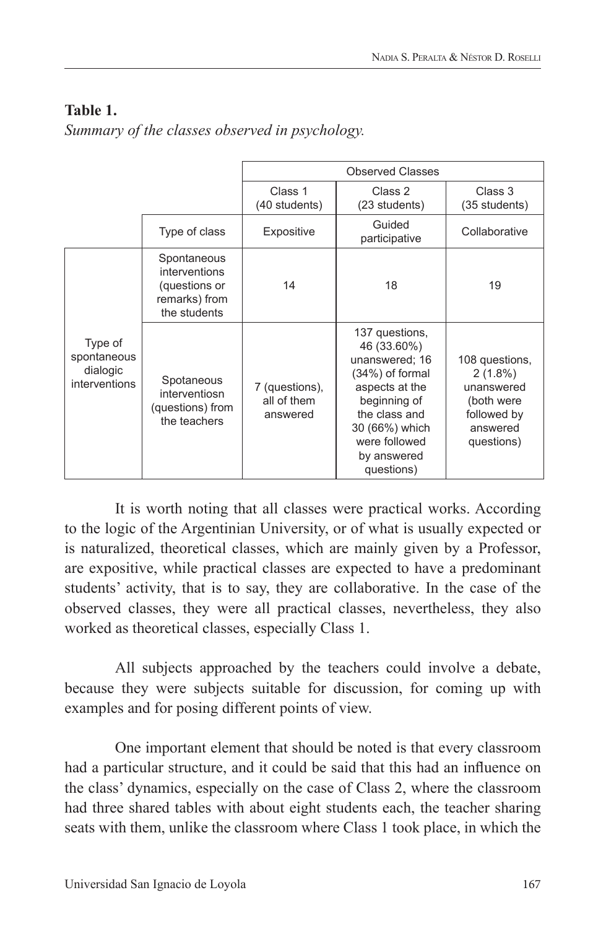## **Table 1.**

*Summary of the classes observed in psychology.*

|                                                     |                                                                                | <b>Observed Classes</b>                   |                                                                                                                                                                                       |                                                                                                   |
|-----------------------------------------------------|--------------------------------------------------------------------------------|-------------------------------------------|---------------------------------------------------------------------------------------------------------------------------------------------------------------------------------------|---------------------------------------------------------------------------------------------------|
|                                                     |                                                                                | Class 1<br>(40 students)                  | Class 2<br>(23 students)                                                                                                                                                              | Class 3<br>(35 students)                                                                          |
|                                                     | Type of class                                                                  | Expositive                                | Guided<br>participative                                                                                                                                                               | Collaborative                                                                                     |
| Type of<br>spontaneous<br>dialogic<br>interventions | Spontaneous<br>interventions<br>(questions or<br>remarks) from<br>the students | 14                                        | 18                                                                                                                                                                                    | 19                                                                                                |
|                                                     | Spotaneous<br>interventiosn<br>(questions) from<br>the teachers                | 7 (questions),<br>all of them<br>answered | 137 questions,<br>46 (33.60%)<br>unanswered; 16<br>(34%) of formal<br>aspects at the<br>beginning of<br>the class and<br>30 (66%) which<br>were followed<br>by answered<br>questions) | 108 questions,<br>$2(1.8\%)$<br>unanswered<br>(both were<br>followed by<br>answered<br>questions) |

It is worth noting that all classes were practical works. According to the logic of the Argentinian University, or of what is usually expected or is naturalized, theoretical classes, which are mainly given by a Professor, are expositive, while practical classes are expected to have a predominant students' activity, that is to say, they are collaborative. In the case of the observed classes, they were all practical classes, nevertheless, they also worked as theoretical classes, especially Class 1.

All subjects approached by the teachers could involve a debate, because they were subjects suitable for discussion, for coming up with examples and for posing different points of view.

One important element that should be noted is that every classroom had a particular structure, and it could be said that this had an influence on the class' dynamics, especially on the case of Class 2, where the classroom had three shared tables with about eight students each, the teacher sharing seats with them, unlike the classroom where Class 1 took place, in which the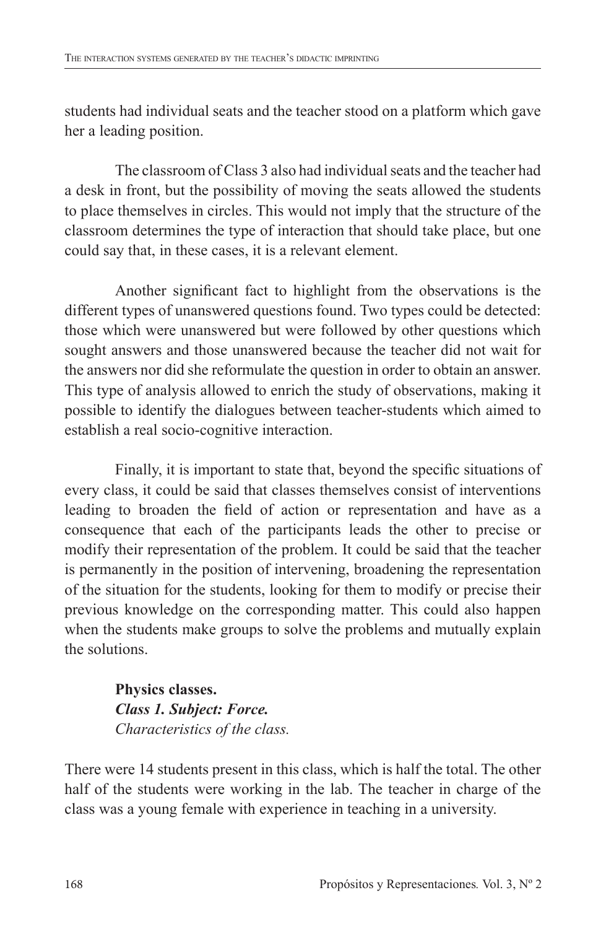students had individual seats and the teacher stood on a platform which gave her a leading position.

The classroom of Class 3 also had individual seats and the teacher had a desk in front, but the possibility of moving the seats allowed the students to place themselves in circles. This would not imply that the structure of the classroom determines the type of interaction that should take place, but one could say that, in these cases, it is a relevant element.

Another significant fact to highlight from the observations is the different types of unanswered questions found. Two types could be detected: those which were unanswered but were followed by other questions which sought answers and those unanswered because the teacher did not wait for the answers nor did she reformulate the question in order to obtain an answer. This type of analysis allowed to enrich the study of observations, making it possible to identify the dialogues between teacher-students which aimed to establish a real socio-cognitive interaction.

Finally, it is important to state that, beyond the specific situations of every class, it could be said that classes themselves consist of interventions leading to broaden the field of action or representation and have as a consequence that each of the participants leads the other to precise or modify their representation of the problem. It could be said that the teacher is permanently in the position of intervening, broadening the representation of the situation for the students, looking for them to modify or precise their previous knowledge on the corresponding matter. This could also happen when the students make groups to solve the problems and mutually explain the solutions.

> **Physics classes.** *Class 1. Subject: Force. Characteristics of the class.*

There were 14 students present in this class, which is half the total. The other half of the students were working in the lab. The teacher in charge of the class was a young female with experience in teaching in a university.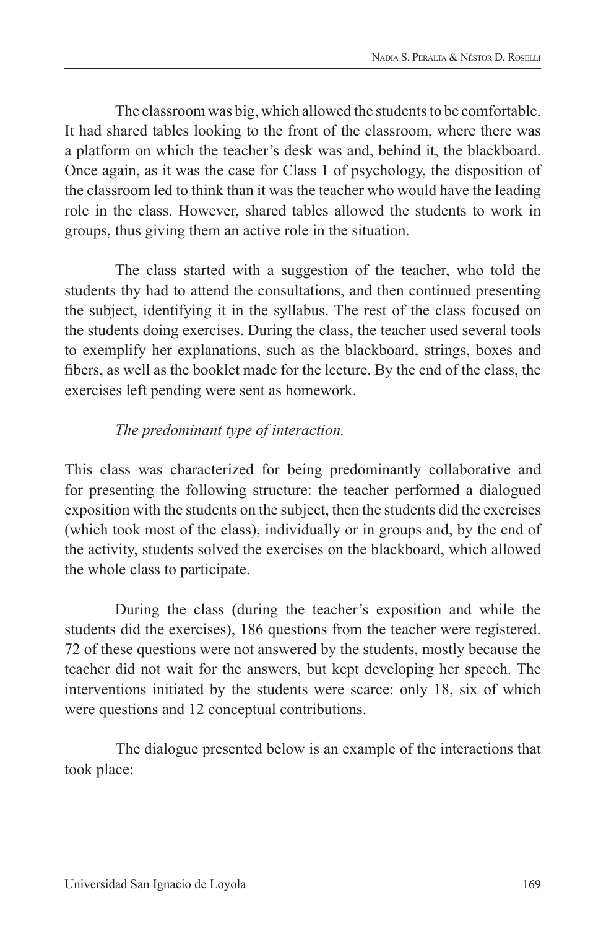The classroom was big, which allowed the students to be comfortable. It had shared tables looking to the front of the classroom, where there was a platform on which the teacher's desk was and, behind it, the blackboard. Once again, as it was the case for Class 1 of psychology, the disposition of the classroom led to think than it was the teacher who would have the leading role in the class. However, shared tables allowed the students to work in groups, thus giving them an active role in the situation.

The class started with a suggestion of the teacher, who told the students thy had to attend the consultations, and then continued presenting the subject, identifying it in the syllabus. The rest of the class focused on the students doing exercises. During the class, the teacher used several tools to exemplify her explanations, such as the blackboard, strings, boxes and fibers, as well as the booklet made for the lecture. By the end of the class, the exercises left pending were sent as homework.

### *The predominant type of interaction.*

This class was characterized for being predominantly collaborative and for presenting the following structure: the teacher performed a dialogued exposition with the students on the subject, then the students did the exercises (which took most of the class), individually or in groups and, by the end of the activity, students solved the exercises on the blackboard, which allowed the whole class to participate.

During the class (during the teacher's exposition and while the students did the exercises), 186 questions from the teacher were registered. 72 of these questions were not answered by the students, mostly because the teacher did not wait for the answers, but kept developing her speech. The interventions initiated by the students were scarce: only 18, six of which were questions and 12 conceptual contributions.

The dialogue presented below is an example of the interactions that took place: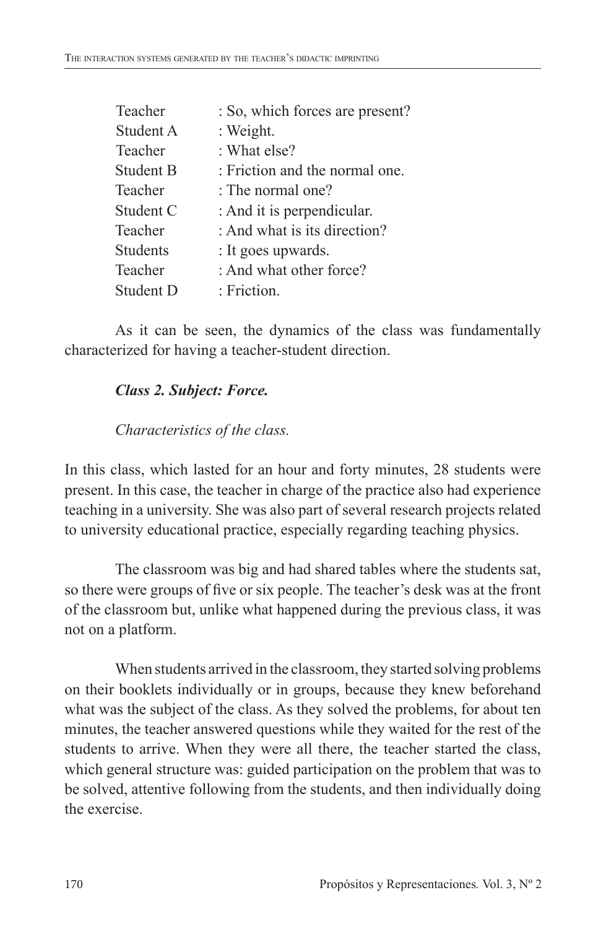| Teacher   | : So, which forces are present? |
|-----------|---------------------------------|
| Student A | : Weight.                       |
| Teacher   | : What else?                    |
| Student B | : Friction and the normal one.  |
| Teacher   | : The normal one?               |
| Student C | : And it is perpendicular.      |
| Teacher   | : And what is its direction?    |
| Students  | : It goes upwards.              |
| Teacher   | : And what other force?         |
| Student D | : Friction.                     |

As it can be seen, the dynamics of the class was fundamentally characterized for having a teacher-student direction.

## *Class 2. Subject: Force.*

### *Characteristics of the class.*

In this class, which lasted for an hour and forty minutes, 28 students were present. In this case, the teacher in charge of the practice also had experience teaching in a university. She was also part of several research projects related to university educational practice, especially regarding teaching physics.

The classroom was big and had shared tables where the students sat, so there were groups of five or six people. The teacher's desk was at the front of the classroom but, unlike what happened during the previous class, it was not on a platform.

When students arrived in the classroom, they started solving problems on their booklets individually or in groups, because they knew beforehand what was the subject of the class. As they solved the problems, for about ten minutes, the teacher answered questions while they waited for the rest of the students to arrive. When they were all there, the teacher started the class, which general structure was: guided participation on the problem that was to be solved, attentive following from the students, and then individually doing the exercise.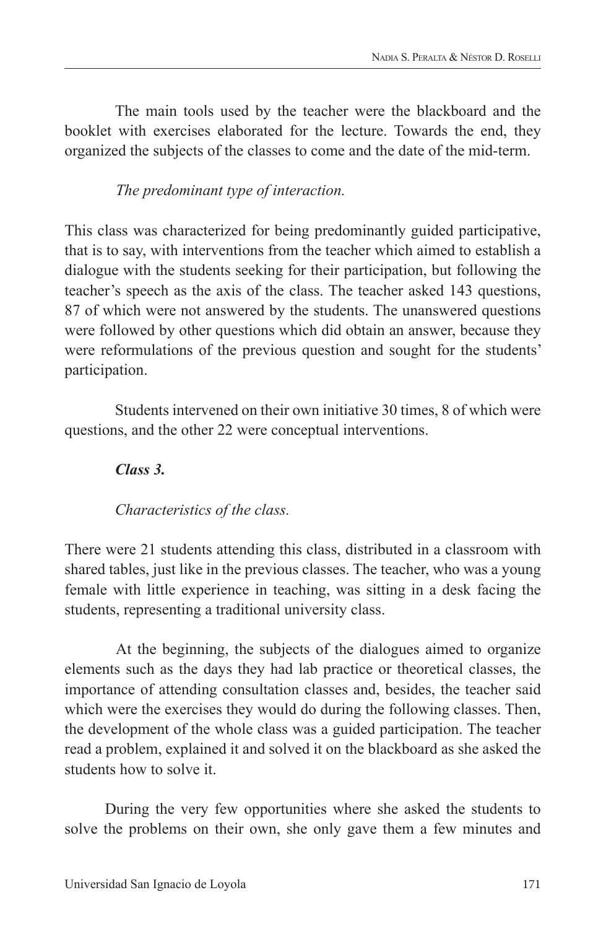The main tools used by the teacher were the blackboard and the booklet with exercises elaborated for the lecture. Towards the end, they organized the subjects of the classes to come and the date of the mid-term.

*The predominant type of interaction.*

This class was characterized for being predominantly guided participative, that is to say, with interventions from the teacher which aimed to establish a dialogue with the students seeking for their participation, but following the teacher's speech as the axis of the class. The teacher asked 143 questions, 87 of which were not answered by the students. The unanswered questions were followed by other questions which did obtain an answer, because they were reformulations of the previous question and sought for the students' participation.

Students intervened on their own initiative 30 times, 8 of which were questions, and the other 22 were conceptual interventions.

*Class 3.*

*Characteristics of the class.*

There were 21 students attending this class, distributed in a classroom with shared tables, just like in the previous classes. The teacher, who was a young female with little experience in teaching, was sitting in a desk facing the students, representing a traditional university class.

At the beginning, the subjects of the dialogues aimed to organize elements such as the days they had lab practice or theoretical classes, the importance of attending consultation classes and, besides, the teacher said which were the exercises they would do during the following classes. Then, the development of the whole class was a guided participation. The teacher read a problem, explained it and solved it on the blackboard as she asked the students how to solve it.

During the very few opportunities where she asked the students to solve the problems on their own, she only gave them a few minutes and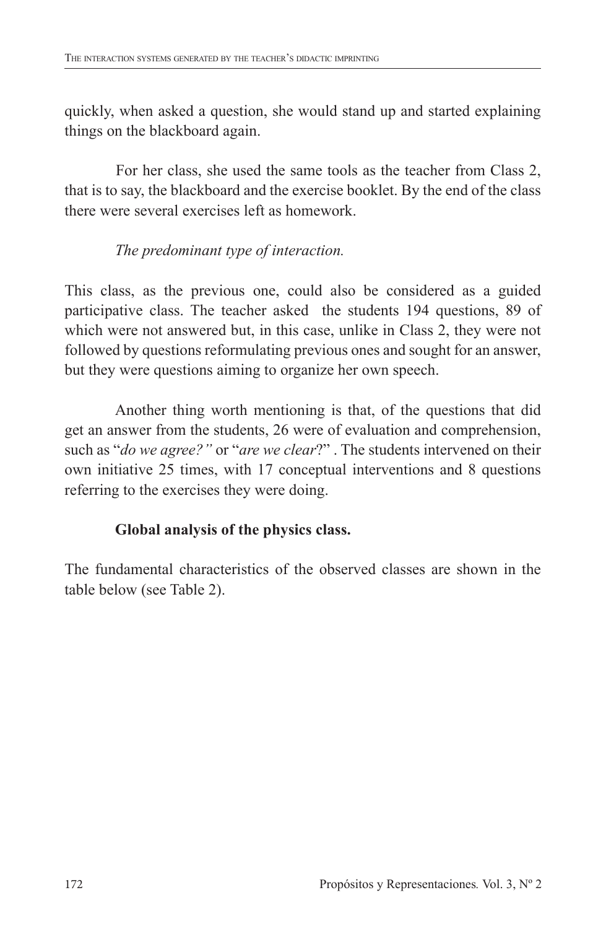quickly, when asked a question, she would stand up and started explaining things on the blackboard again.

For her class, she used the same tools as the teacher from Class 2, that is to say, the blackboard and the exercise booklet. By the end of the class there were several exercises left as homework.

### *The predominant type of interaction.*

This class, as the previous one, could also be considered as a guided participative class. The teacher asked the students 194 questions, 89 of which were not answered but, in this case, unlike in Class 2, they were not followed by questions reformulating previous ones and sought for an answer, but they were questions aiming to organize her own speech.

Another thing worth mentioning is that, of the questions that did get an answer from the students, 26 were of evaluation and comprehension, such as "*do we agree?"* or "*are we clear*?" . The students intervened on their own initiative 25 times, with 17 conceptual interventions and 8 questions referring to the exercises they were doing.

## **Global analysis of the physics class.**

The fundamental characteristics of the observed classes are shown in the table below (see Table 2).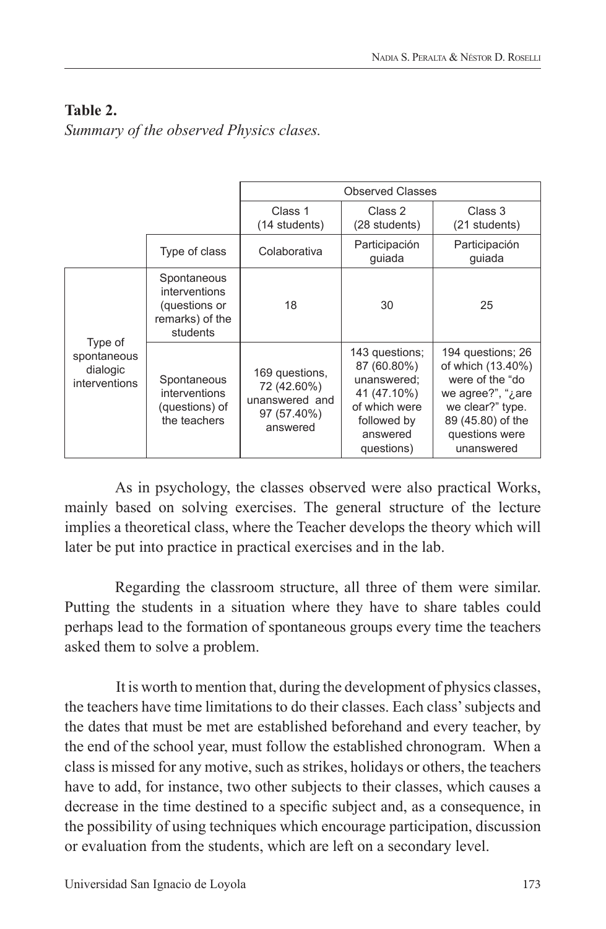## **Table 2.**

*Summary of the observed Physics clases.*

|                                                     |                                                                              | <b>Observed Classes</b>                                                    |                                                                                                                       |                                                                                                                                                             |
|-----------------------------------------------------|------------------------------------------------------------------------------|----------------------------------------------------------------------------|-----------------------------------------------------------------------------------------------------------------------|-------------------------------------------------------------------------------------------------------------------------------------------------------------|
|                                                     |                                                                              | Class 1<br>(14 students)                                                   | Class 2<br>(28 students)                                                                                              | Class 3<br>(21 students)                                                                                                                                    |
|                                                     | Type of class                                                                | Colaborativa                                                               | Participación<br>quiada                                                                                               | Participación<br>quiada                                                                                                                                     |
| Type of<br>spontaneous<br>dialogic<br>interventions | Spontaneous<br>interventions<br>(questions or<br>remarks) of the<br>students | 18                                                                         | 30                                                                                                                    | 25                                                                                                                                                          |
|                                                     | Spontaneous<br>interventions<br>(questions) of<br>the teachers               | 169 questions,<br>72 (42.60%)<br>unanswered and<br>97 (57.40%)<br>answered | 143 questions;<br>87 (60.80%)<br>unanswered;<br>41 (47.10%)<br>of which were<br>followed by<br>answered<br>questions) | 194 questions; 26<br>of which (13.40%)<br>were of the "do<br>we agree?", " $i$ are<br>we clear?" type.<br>89 (45.80) of the<br>questions were<br>unanswered |

As in psychology, the classes observed were also practical Works, mainly based on solving exercises. The general structure of the lecture implies a theoretical class, where the Teacher develops the theory which will later be put into practice in practical exercises and in the lab.

Regarding the classroom structure, all three of them were similar. Putting the students in a situation where they have to share tables could perhaps lead to the formation of spontaneous groups every time the teachers asked them to solve a problem.

It is worth to mention that, during the development of physics classes, the teachers have time limitations to do their classes. Each class' subjects and the dates that must be met are established beforehand and every teacher, by the end of the school year, must follow the established chronogram. When a class is missed for any motive, such as strikes, holidays or others, the teachers have to add, for instance, two other subjects to their classes, which causes a decrease in the time destined to a specific subject and, as a consequence, in the possibility of using techniques which encourage participation, discussion or evaluation from the students, which are left on a secondary level.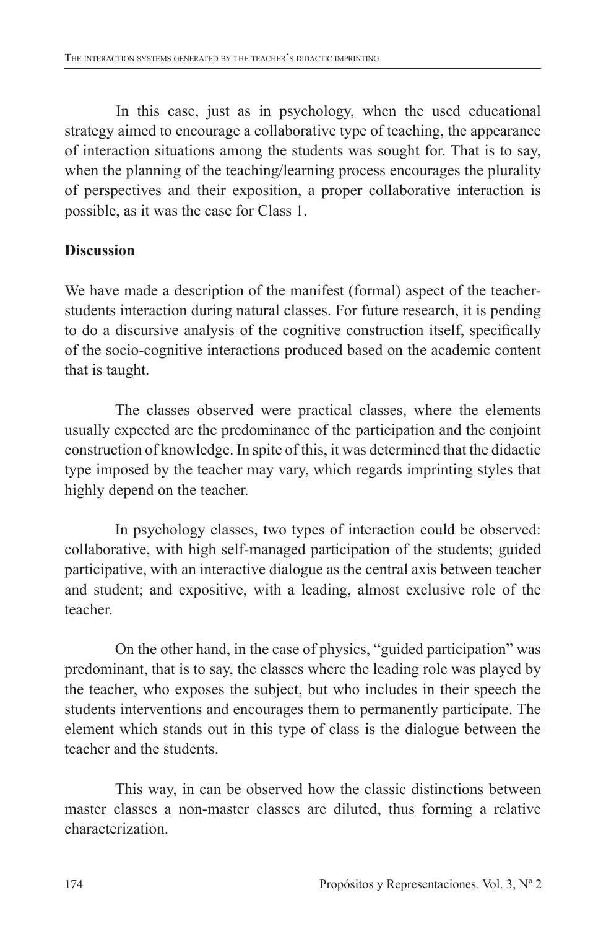In this case, just as in psychology, when the used educational strategy aimed to encourage a collaborative type of teaching, the appearance of interaction situations among the students was sought for. That is to say, when the planning of the teaching/learning process encourages the plurality of perspectives and their exposition, a proper collaborative interaction is possible, as it was the case for Class 1.

### **Discussion**

We have made a description of the manifest (formal) aspect of the teacherstudents interaction during natural classes. For future research, it is pending to do a discursive analysis of the cognitive construction itself, specifically of the socio-cognitive interactions produced based on the academic content that is taught.

The classes observed were practical classes, where the elements usually expected are the predominance of the participation and the conjoint construction of knowledge. In spite of this, it was determined that the didactic type imposed by the teacher may vary, which regards imprinting styles that highly depend on the teacher.

In psychology classes, two types of interaction could be observed: collaborative, with high self-managed participation of the students; guided participative, with an interactive dialogue as the central axis between teacher and student; and expositive, with a leading, almost exclusive role of the teacher.

On the other hand, in the case of physics, "guided participation" was predominant, that is to say, the classes where the leading role was played by the teacher, who exposes the subject, but who includes in their speech the students interventions and encourages them to permanently participate. The element which stands out in this type of class is the dialogue between the teacher and the students.

This way, in can be observed how the classic distinctions between master classes a non-master classes are diluted, thus forming a relative characterization.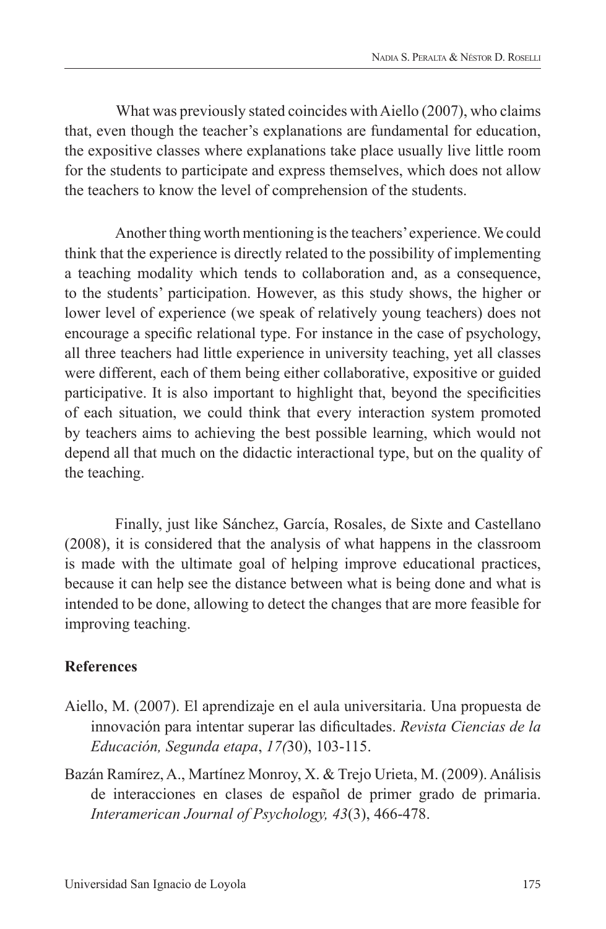What was previously stated coincides with Aiello (2007), who claims that, even though the teacher's explanations are fundamental for education, the expositive classes where explanations take place usually live little room for the students to participate and express themselves, which does not allow the teachers to know the level of comprehension of the students.

Another thing worth mentioning is the teachers' experience. We could think that the experience is directly related to the possibility of implementing a teaching modality which tends to collaboration and, as a consequence, to the students' participation. However, as this study shows, the higher or lower level of experience (we speak of relatively young teachers) does not encourage a specific relational type. For instance in the case of psychology, all three teachers had little experience in university teaching, yet all classes were different, each of them being either collaborative, expositive or guided participative. It is also important to highlight that, beyond the specificities of each situation, we could think that every interaction system promoted by teachers aims to achieving the best possible learning, which would not depend all that much on the didactic interactional type, but on the quality of the teaching.

Finally, just like Sánchez, García, Rosales, de Sixte and Castellano (2008), it is considered that the analysis of what happens in the classroom is made with the ultimate goal of helping improve educational practices, because it can help see the distance between what is being done and what is intended to be done, allowing to detect the changes that are more feasible for improving teaching.

### **References**

- Aiello, M. (2007). El aprendizaje en el aula universitaria. Una propuesta de innovación para intentar superar las dificultades. *Revista Ciencias de la Educación, Segunda etapa*, *17(*30), 103-115.
- Bazán Ramírez, A., Martínez Monroy, X. & Trejo Urieta, M. (2009). Análisis de interacciones en clases de español de primer grado de primaria. *Interamerican Journal of Psychology, 43*(3), 466-478.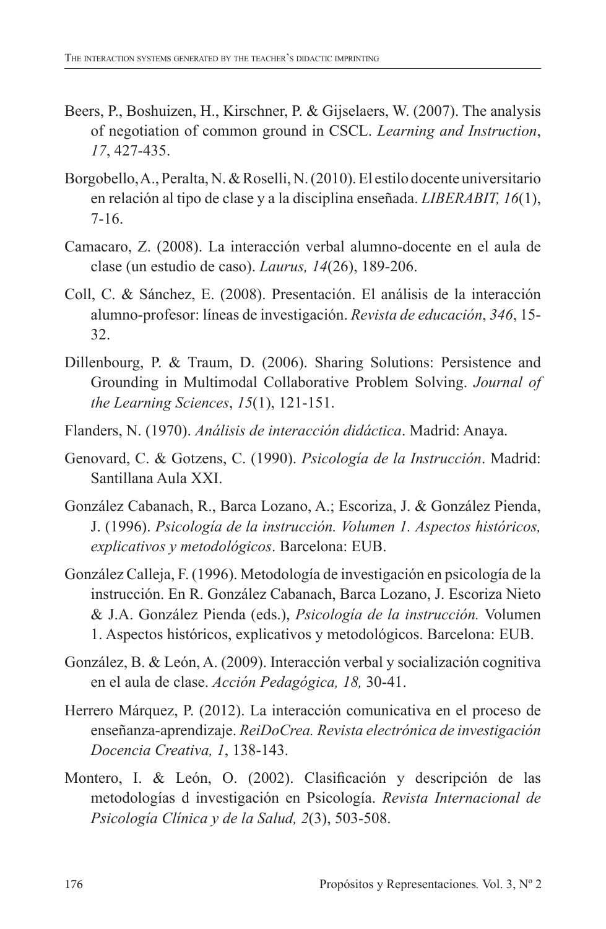- Beers, P., Boshuizen, H., Kirschner, P. & Gijselaers, W. (2007). The analysis of negotiation of common ground in CSCL. *Learning and Instruction*, *17*, 427-435.
- Borgobello, A., Peralta, N. & Roselli, N. (2010). El estilo docente universitario en relación al tipo de clase y a la disciplina enseñada. *LIBERABIT, 16*(1), 7-16.
- Camacaro, Z. (2008). La interacción verbal alumno-docente en el aula de clase (un estudio de caso). *Laurus, 14*(26), 189-206.
- Coll, C. & Sánchez, E. (2008). Presentación. El análisis de la interacción alumno-profesor: líneas de investigación. *Revista de educación*, *346*, 15- 32.
- Dillenbourg, P. & Traum, D. (2006). Sharing Solutions: Persistence and Grounding in Multimodal Collaborative Problem Solving. *Journal of the Learning Sciences*, *15*(1), 121-151.
- Flanders, N. (1970). *Análisis de interacción didáctica*. Madrid: Anaya.
- Genovard, C. & Gotzens, C. (1990). *Psicología de la Instrucción*. Madrid: Santillana Aula XXI.
- González Cabanach, R., Barca Lozano, A.; Escoriza, J. & González Pienda, J. (1996). *Psicología de la instrucción. Volumen 1. Aspectos históricos, explicativos y metodológicos*. Barcelona: EUB.
- González Calleja, F. (1996). Metodología de investigación en psicología de la instrucción. En R. González Cabanach, Barca Lozano, J. Escoriza Nieto & J.A. González Pienda (eds.), *Psicología de la instrucción.* Volumen 1. Aspectos históricos, explicativos y metodológicos. Barcelona: EUB.
- González, B. & León, A. (2009). Interacción verbal y socialización cognitiva en el aula de clase. *Acción Pedagógica, 18,* 30-41.
- Herrero Márquez, P. (2012). La interacción comunicativa en el proceso de enseñanza-aprendizaje. *ReiDoCrea. Revista electrónica de investigación Docencia Creativa, 1*, 138-143.
- Montero, I. & León, O. (2002). Clasificación y descripción de las metodologías d investigación en Psicología. *Revista Internacional de Psicología Clínica y de la Salud, 2*(3), 503-508.